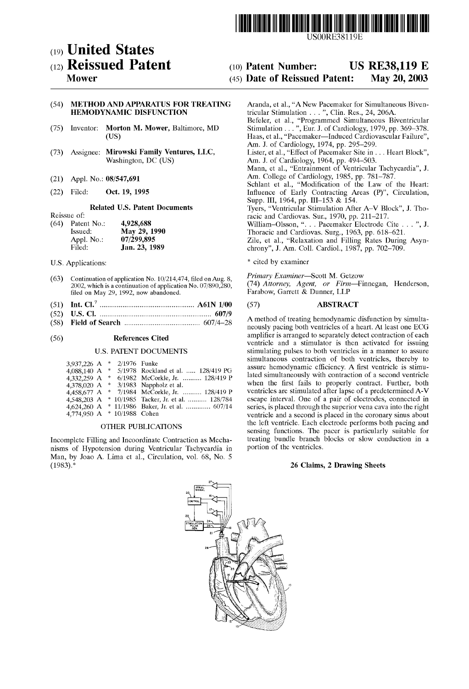

USO0RE38119E

# (19) United States (12) Reissued Patent

# Mower

# (54) METHOD AND APPARATUS FOR TREATING HEMODYNAMIC DISFUNCTION

- Morton M. Mower, Baltimore, MD (US) (75) Inventor:
- (73) Assignee: Mirowski Family Ventures, LLC, Washington, DC (US)
- (21) Appl. No.: 08/547,691
- (22) Filed: Oct. 19, 1995

# Related U.S. Patent Documents

|      | wersele of. |               |
|------|-------------|---------------|
| (64) | Patent No.: | 4,928,688     |
|      | Issued:     | May 29, 1990  |
|      | Appl. No.:  | 07/299,895    |
|      | Filed:      | Jan. 23, 1989 |

U.S. Applications:

Reissue of:

- (63) Continuation of application No.  $10/214,474$ , filed on Aug. 8, 2002, which is a continuation of application No. 07/890,280, filed on May 29, 1992, now abandoned.
- (51) Int. Cl.7 ................................................ .. A61N 1/00
- (52) U.S. Cl. ......................................................... .. 607/9
- (58) Field of Search ...................................... .. 607/4—28

#### (56) References Cited

#### U.S. PATENT DOCUMENTS

| 3,937,226 A |     | 2/1976 Funke    |                                       |
|-------------|-----|-----------------|---------------------------------------|
| 4,088,140 A | 一条  |                 | 5/1978 Rockland et al.  128/419 PG    |
| 4.332.259 A | * . |                 | 6/1982 McCorkle, Jr.  128/419 P       |
| 4,378,020 A |     |                 | $*$ 3/1983 Nappholz et al.            |
| 4,458,677 A |     |                 | * 7/1984 McCorkle, Jr.  128/419 P     |
| 4.548.203 A |     |                 | * 10/1985 Tacker, Jr. et al.  128/784 |
| 4,624,260 A |     |                 | $*$ 11/1986 Baker, Jr. et al.  607/14 |
| 4,774,950 A |     | * 10/1988 Cohen |                                       |

#### OTHER PUBLICATIONS

Incomplete Filling and Incoordinate Contraction as Mecha nisms of Hypotension during Ventricular Tachycardia in Man, by Joao A. Lima et al., Circulation, vol. 68, No. 5  $(1983).$ \*

#### (10) Patent Number: (45) Date of Reissued Patent: US RE38,119 E May 20,2003

Aranda, et al., "A NeW Pacemaker for Simultaneous Biven tricular Stimulation . . . ", Clin. Res., 24, 206A. Befeler, et al., "Programmed Simultaneous Biventricular Stimulation . . . ", Eur. J. of Cardiology, 1979, pp. 369—378. Haas, et al., "Pacemaker—lnduced Cardiovascular Failure", Am. J. of Cardiology, 1974, pp. 295—299. Lister, et al., "Effect of Pacemaker Site in . . . Heart Block", Am. J. of Cardiology, 1964, pp. 494—503. Mann, et al., "Entrainment of Ventricular Tachycardia", J. Am. College of Cardiology, 1985, pp. 781—787. Schlant et al., "Modification of the Law of the Heart: Influence of Early Contracting Areas (P)", Circulation, Supp. III, 1964, pp. III–153 & 154. Tyers, "Ventricular Stimulation After A—V Block", J. Tho racic and Cardiovas. Sur., 1970, pp. 211—217. William—Olsson, ". . . Pacemaker Electrode Cite . . . ", J. Thoracic and Cardiovas. Surg., 1963, pp. 618—621. Zile, et al., "Relaxation and Filling Rates During Asynchrony", J. Am. Coll. Cardiol., 1987, pp. 702—709.

#### \* cited by examiner

Primary Examiner-Scott M. Getzow

(74) Attorney, Agent, or Firm—Finnegan, Henderson, FaraboW, Garrett & Dunner, LLP

#### (57) ABSTRACT

A method of treating hemodynamic disfunction by simulta neously pacing both ventricles of a heart. At least one ECG amplifier is arranged to separately detect contraction of each ventricle and a stimulator is then activated for issuing stimulating pulses to both ventricles in a manner to assure simultaneous contraction of both ventricles, thereby to assure hemodynamic efficiency. A first ventricle is stimulated simultaneously With contraction of a second ventricle when the first fails to properly contract. Further, both ventricles are stimulated after lapse of a predetermined A—V escape interval. One of a pair of electrodes, connected in series, is placed through the superior vena cava into the right ventricle and a second is placed in the coronary sinus about the left ventricle. Each electrode performs both pacing and sensing functions. The pacer is particularly suitable for treating bundle branch blocks or slow conduction in a portion of the ventricles.

# 26 Claims, 2 Drawing Sheets

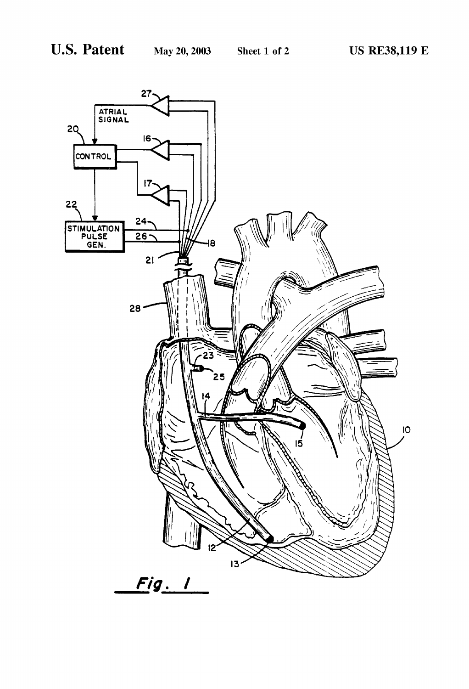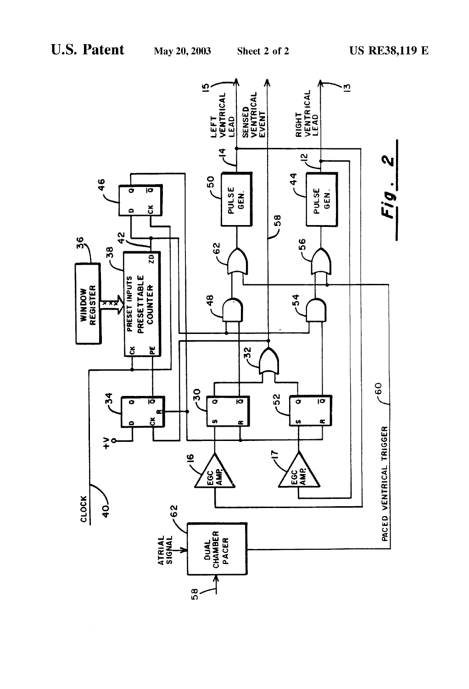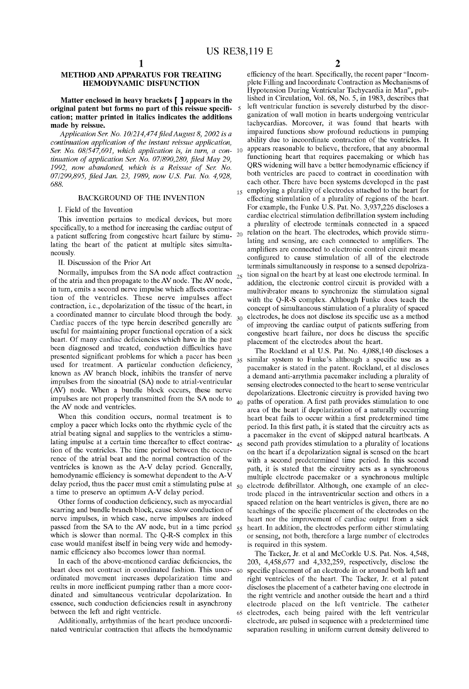25

 $30$ 

60

65

# METHOD AND APPARATUS FOR TREATING HEMODYNAMIC DISFUNCTION

# Matter enclosed in heavy brackets [ ] appears in the original patent but forms no part of this reissue specification; matter printed in italics indicates the additions made by reissue.

Application Ser. No.  $10/214,474$  filed August 8, 2002 is a continuation application of the instant reissue application, Ser. No. 08/547,691, which application is, in turn, a con-  $10$ tinuation of application Ser. No.  $07/890,280$ , filed May 29, 1992, now abandoned, which is a Reissue of Ser. No. 07/299,895, filed Jan. 23, 1989, now U.S. Pat. No. 4,928, 688.

# BACKGROUND OF THE INVENTION

I. Field of the Invention

This invention pertains to medical devices, but more specifically, to a method for increasing the cardiac output of a patient suffering from congestive heart failure by stimu-  $20$ lating the heart of the patient at multiple sites simulta neously.

#### II. Discussion of the Prior Art

Normally, impulses from the SA node affect contraction of the atria and then propagate to the AV node. The AV node, in turn, emits a second nerve impulse Which affects contrac tion of the ventricles. These nerve impulses affect contraction, i.e., depolarization of the tissue of the heart, in a coordinated manner to circulate blood through the body. Cardiac pacers of the type herein described generally are useful for maintaining proper functional operation of a sick heart. Of many cardiac deficiencies which have in the past been diagnosed and treated, conduction difficulties have presented significant problems for which a pacer has been used for treatment. A particular conduction deficiency, knoWn as AV branch block, inhibits the transfer of nerve impulses from the sinoatrial (SA) node to atrial-ventricular (AV) node. When a bundle block occurs, these nerve impulses are not properly transmitted from the SA node to the AV node and ventricles.

When this condition occurs, normal treatment is to employ a pacer which looks onto the rhythmic cycle of the atrial beating signal and supplies to the ventricles a stimu lating impulse at a certain time thereafter to effect contrac tion of the ventricles. The time period between the occurrence of the atrial beat and the normal contraction of the ventricles is known as the A-V delay period. Generally, hemodynamic efficiency is somewhat dependent to the A-V delay period, thus the pacer must emit a stimulating pulse at  $_{50}$ a time to preserve an optimum A-V delay period.

Other forms of conduction deficiency, such as myocardial scarring and bundle branch block, cause slow conduction of nerve impulses, in Which case, nerve impulses are indeed passed from the SA to the AV node, but in a time period  $55$ which is slower than normal. The Q-R-S complex in this case Would manifest itself in being very Wide and hemody namic efficiency also becomes lower than normal.

In each of the above-mentioned cardiac deficiencies, the heart does not contract in coordinated fashion. This unco ordinated movement increases depolarization time and reults in more inefficient pumping rather than a more coordinated and simultaneous ventricular depolarization. In essence, such conduction deficiencies result in asynchrony betWeen the left and right ventricle.

Additionally, arrhythmias of the heart produce uncoordi nated ventricular contraction that affects the hemodynamic 2

15 employing a plurality of electrodes attached to the heart for efficiency of the heart. Specifically, the recent paper "Incomplete Filling and Incoordinate Contraction as Mechanisms of Hypotension During Ventricular Tachycardia in Man", pub lished in Circulation, Vol. 68, No. 5, in 1983, describes that left ventricular function is severely disturbed by the disor ganization of Wall motion in hearts undergoing ventricular tachycardias. Moreover, it Was found that hearts With impaired functions show profound reductions in pumping ability due to incoordinate contraction of the ventricles. It appears reasonable to believe, therefore, that any abnormal functioning heart that requires pacemaking or Which has QRS widening will have a better hemodynamic efficiency if both ventricles are paced to contract in coordination With each other. There have been systems developed in the past effecting stimulation of a plurality of regions of the heart. For example, the Funke U.S. Pat. No. 3,937,226 discloses a cardiac electrical stimulation defibrillation system including a plurality of electrode terminals connected in a spaced relation on the heart. The electrodes, Which provide stimu lating and sensing, are each connected to amplifiers. The amplifiers are connected to electronic control circuit means configured to cause stimulation of all of the electrode terminals simultaneously in response to a sensed depolriza tion signal on the heart by at least one electrode terminal. In addition, the electronic control circuit is provided With a multivibrator means to synchronize the stimulation signal with the Q-R-S complex. Although Funke does teach the concept of simultaneous stimulation of a plurality of spaced electrodes, he does not disclose its specific use as a method of improving the cardiac output of patients suffering from congestive heart failure, nor does he discuss the specific placement of the electrodes about the heart.

<sub>35</sub> similar system to Funke's although a specific use as a 40 paths of operation. A first path provides stimulation to one 45 second path provides stimulation to a plurality of locations The Rockland et al US. Pat. No. 4,088,140 discloses a pacemaker is stated in the patent. Rockland, et al discloses a demand anti-arrythmia pacemaker including a plurality of sensing electrodes connected to the heart to sense ventricular depolarizations. Electronic circuitry is provided having two area of the heart if depolarization of a naturally occurring heart beat fails to occur within a first predetermined time period. In this first path, it is stated that the circuitry acts as a pacemaker in the event of skipped natural heartbeats. A on the heart if a depolarization signal is sensed on the heart with a second predetermined time period. In this second path, it is stated that the circuitry acts as a synchronous multiple electrode pacemaker or a synchronous multiple electrode defibrillator. Although, one example of an electrode placed in the intraventricular section and others in a spaced relation on the heart ventricles is given, there are no teachings of the specific placement of the electrodes on the heart nor the improvement of cardiac output from a sick heart. In addition, the electrodes perform either stimulating or sensing, not both, therefore a large number of electrodes is required in this system.

The Tacker, Jr. et al and McCorkle U.S. Pat. Nos. 4,548, 203, 4,458,677 and 4,332,259, respectively, disclose the specific placement of an electrode in or around both left and right ventricles of the heart. The Tacker, Jr. et al patent discloses the placement of a catheter having one electrode in the right ventricle and another outside the heart and a third electrode placed on the left ventricle. The catheter electrodes, each being paired With the left ventricular electrode, are pulsed in sequence With a predetermined time separation resulting in uniform current density delivered to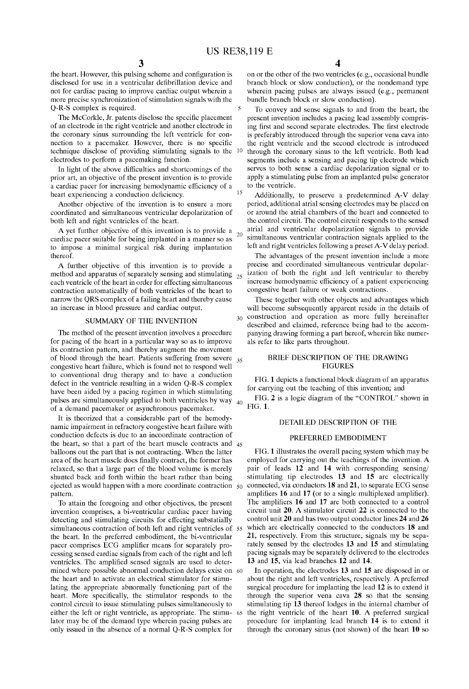20

35

the heart. However, this pulsing scheme and configuration is disclosed for use in a ventricular defibrillation device and not for cardiac pacing to improve cardiac output Wherein a more precise synchroniZation of stimulation signals With the Q-R-S complex is required.

The McCorkle, Jr. patents disclose the specific placement of an electrode in the right ventricle and another electrode in the coronary sinus surrounding the left ventricle for con nection to a pacemaker. However, there is no specific technique disclose of providing stimulating signals to the 10 electrodes to perform a pacemaking function.

In light of the above difficulties and shortcomings of the prior art, an objective of the present invention is to provide a cardiac pacer for increasing hemodynamic efficiency of a heart experiencing a conduction deficiency.

Another objective of the invention is to ensure a more coordinated and simultaneous ventricular depolarization of both left and right ventricles of the heart.

A yet further objective of this invention is to provide a cardiac pacer suitable for being implanted in a manner so as to impose a minimal surgical risk during implantation thereof.

A further objective of this invention is to provide a method and apparatus of separately sensing and stimulating  $_{25}$ each ventricle of the heart in order for effecting simultaneous contraction automatically of both ventricles of the heart to narroW the QRS complex of a failing heart and thereby cause an increase in blood pressure and cardiac output.

#### SUMMARY OF THE INVENTION

The method of the present invention involves a procedure for pacing of the heart in a particular Way so as to improve its contraction pattern, and thereby augment the movement of blood through the heart. Patients suffering from severe congestive heart failure, Which is found not to respond Well to conventional drug therapy and to have a conduction defect in the ventricle resulting in a Widen Q-R-S complex have been aided by a pacing regimen in Which stimulating pulses are simultaneously applied to both ventricles by way 40 of a demand pacemaker or asynchronous pacemaker.

It is theorized that a considerable part of the hemodynamic impairment in refractory congestive heart failure With conduction defects is due to an incoordinate contraction of the heart, so that a part of the heart muscle contracts and 45 balloons out the part that is not contracting. When the latter area of the heart muscle does finally contract, the former has relaxed, so that a large part of the blood volume is merely shunted back and forth Within the heart rather than being pattern.

To attain the foregoing and other objectives, the present invention comprises, a bi-ventricular cardiac pacer having detecting and stimulating circuits for effecting substatially simultaneous contraction of both left and right ventricles of 55 the heart. In the preferred embodiment, the bi-ventricular pacer comprises ECG amplifier means for separately processing sensed cardiac signals from each of the right and left ventricles. The amplified sensed signals are used to determined where possible abnormal conduction delays exist on 60 the heart and to activate an electrical stimulator for stimu lating the appropriate abnormally functioning part of the heart. More specifically, the stimulator responds to the control circuit to issue stimulating pulses simultaneously to lator may be of the demand type Wherein pacing pulses are only issued in the absence of a normal Q-R-S complex for

 $\frac{4}{\sqrt{1}}$  on or the other of the two ventricles (e.g., occasional bundle branch block or sloW conduction), or the nondemand type wherein pacing pulses are always issued (e.g., permanent bundle branch block or slow conduction).

To convey and sense signals to and from the heart, the present invention includes a pacing lead assembly compris ing first and second separate electrodes. The first electrode is preferably introduced through the superior vena cava into the right ventricle and the second electrode is introduced through the coronary sinus to the left ventricle. Both lead segments include a sensing and pacing tip electrode Which serves to both sense a cardiac depolarization signal or to apply a stimulating pulse from an implanted pulse generator to the ventricle.

Additionally, to preserve a predetermined A-V delay period, additional atrial sensing electrodes may be placed on or around the atrial chambers of the heart and connected to the control circuit. The control circuit responds to the sensed atrial and ventricular depolarization signals to provide simultaneous ventricular contraction signals applied to the left and right ventricles folloWing a preset A-V delay period.

The advantages of the present invention include a more precise and coordinated simultaneous ventricular depolar ization of both the right and left ventricular to thereby increase hemodynamic efficiency of a patient experiencing congestive heart failure or Weak contractions.

These together With other objects and advantages Which will become subsequently apparent reside in the details of 30 construction and operation as more fully hereinafter described and claimed, reference being had to the accom panying draWing forming a part hereof, Wherein like numer als refer to like parts throughout.

## BRIEF DESCRIPTION OF THE DRAWING FIGURES

FIG. 1 depicts a functional block diagram of an apparatus for carrying out the teaching of this invention; and

FIG. 2 is a logic diagram of the "CONTROL" shoWn in FIG. 1.

### DETAILED DESCRIPTION OF THE

#### PREFERRED EMBODIMENT

ejected as would happen with a more coordinate contraction  $50$  connected, via conductors 18 and 21, to separate ECG sense FIG. 1 illustrates the overall pacing system Which may be employed for carrying out the teachings of the invention. A pair of leads 12 and 14 With corresponding sensing/ stimulating tip electrodes 13 and 15 are electrically amplifiers 16 and 17 (or to a single multiplexed amplifier). The amplifiers 16 and 17 are both connected to a control circuit unit 20. A stimulator circuit 22 is connected to the control unit 20 and has tWo output conductor lines 24 and 26 Which are electrically connected to the conductors 18 and 21, respectively. From this structure, signals my be sepa rately sensed by the electrodes 13 and 15 and stimulating pacing signals may be separately delivered to the electrodes 13 and 15, via lead branches 12 and 14.

either the left or right ventricle, as appropriate. The stimu- 65 the right ventricle of the heart 10. A preferred surgical In operation, the electrodes 13 and 15 are disposed in or about the right and left ventricles, respectively. A preferred surgical procedure for implanting the lead 12 is to extend it through the superior vena cava 28 so that the sensing stimulating tip 13 thereof lodges in the internal chamber of procedure for implanting lead branch 14 is to extend it through the coronary sinus (not shoWn) of the heart 10 so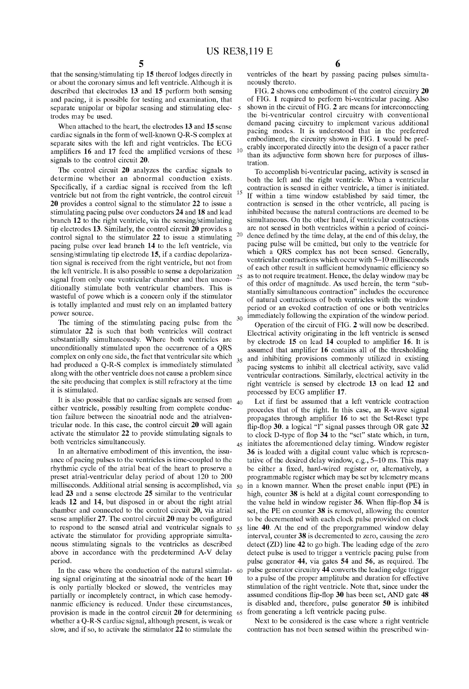$\overline{5}$ 

25

 $30\,$ 

15

20

that the sensing/stimulating tip 15 thereof lodges directly in or about the coronary simus and left ventricle. Although it is described that electrodes 13 and 15 perform both sensing and pacing, it is possible for testing and examination, that separate unipolar or bipolar sensing and stimulating elec trodes may be used.

When attached to the heart, the electrodes 13 and 15 sense cardiac signals in the form of Well-known Q-R-S complex at separate sites With the left and right ventricles. The ECG amplifiers 16 and 17 feed the amplified versions of these  $10<sup>10</sup>$ signals to the control circuit 20.

The control circuit 20 analyzes the cardiac signals to determine Whether an abnormal conduction exists. Specifically, if a cardiac signal is received from the left ventricle but not from the right ventricle, the control circuit 20 provides a control signal to the stimulator 22 to issue a stimulating pacing pulse over conductors 24 and 18 and lead branch 12 to the right ventricle, via the sensing/stimulating tip electrodes 13. Similarly, the control circuit 20 provides a control signal to the stimulator 22 to issue a stimulating pacing pulse over lead branch 14 to the left ventricle, via sensing/stimulating tip electrode 15, if a cardiac depolarization signal is received from the right ventricle, but not from the left ventricle. It is also possible to sense a depolarization signal from only one ventricular chamber and then uncon ditionally stimulate both ventricular chambers. This is wasteful of powe which is a concern only if the stimulator is totally implanted and must rely on an implanted battery poWer source.

The timing of the stimulating pacing pulse from the stimulator 22 is such that both ventricles Will contract substantially simultaneously. Where both ventricles are unconditionally stimulated upon the occurrence of a QRS complex on only one side, the fact that ventricular site which had produced a Q-R-S complex is immediately stimulated along With the other ventricle does not cause a problem since the site producing that complex is still refractory at the time it is stimulated.

It is also possible that no cardiac signals are sensed from  $_{40}$ either ventricle, possibly resulting from complete conduc tion failure between the sinoatrial node and the atrialventricular node. In this case, the control circuit 20 Will again activate the stimulator 22 to provide stimulating signals to both ventricles simultaneously.

In an alternative embodiment of this invention, the issu ance of pacing pulses to the ventricles is time-coupled to the rhythmic cycle of the atrial beat of the heart to preserve a preset atrial-ventricular delay period of about 120 to 200 milliseconds. Additional atrial sensing is accomplished, via  $_{50}$ lead 23 and a sense electrode 25 similar to the ventricular leads 12 and 14, but disposed in or about the right atrial chamber and connected to the control circuit 20, via atrial sense amplifier 27. The control circuit  $20$  may be configured to respond to the sensed atrial and ventricular signals to  $55$ activate the stimulator for providing appropriate simulta neous stimulating signals to the ventricles as described above in accordance with the predetermined A-V delay period.

In the case Where the conduction of the natural stimulat 60 ing signal originating at the sinoatrial node of the heart 10 is only partially blocked or slowed, the ventricles may partially or incompletely contract, in Which case hemody nanmic efficiency is reduced. Under these circumstances, provision is made in the control circuit 20 for determining 65 from generating a left ventricle pacing pulse. Whether a Q-R-S cardiac signal, although present, is Weak or sloW, and if so, to activate the stimulator 22 to stimulate the

6

ventricles of the heart by passing pacing pulses simulta neously thereto.

FIG. 2 shows one embodiment of the control circuitry 20 of FIG. 1 required to perform bi-ventricular pacing. Also shoWn in the circuit of FIG. 2 are means for interconnecting the bi-ventricular control circuitry With conventional demand pacing circuitry to implement various additional pacing modes. It is understood that in the preferred embodiment, the circuitry shown in FIG. 1 would be preferably incorporated directly into the design of a pacer rather than its adjunctive form shoWn here for purposes of illus tration.

To accomplish bi-ventricular pacing, activity is sensed in both the left and the right ventricle. When a ventricular contraction is sensed in either ventricle, a timer is initiated. If Within a time WindoW established by said timer, the contraction is sensed in the other ventricle, all pacing is inhibited because the natural contractions are deemed to be simultaneous. On the other hand, if ventricular contractions are not sensed in both ventricles Within a period of coinci dence defined by the time delay, at the end of this delay, the pacing pulse Will be emitted, but only to the ventricle for which a QRS complex has not been sensed. Generally, ventricular contractions Which occur With 5—10 milliseconds of each other result in sufficient hemodynamic efficiency so as to not require treatment. Hence, the delay WindoW may be of this order of magnitude. As used herein, the term "sub stantially simultaneous contraction" includes the occurence of natural contractions of both ventricles With the WindoW period or an evoked contraction of one or both ventricles immediately following the expiration of the window period.

Operation of the circuit of FIG. 2 will now be described. Electrical activity originating in the left ventricle is sensed by electrode  $15$  on lead  $14$  coupled to amplifier  $16$ . It is assumed that amplifier 16 contains all of the thresholding and inhibiting provisions commonly utilized in existing pacing systems to inhibit all electrical activity, save valid ventricular contractions. Similarly, electrical activity in the right ventricle is sensed by electrode 13 on lead 12 and processed by ECG amplifier 17.

45 initiates the aforementioned delay timing. WindoW register Let if first be assumed that a left ventricle contraction procedes that of the right. In this case, an R-Wave signal propagates through amplifier  $16$  to set the Set-Reset type flip-flop 30. a logical "1" signal passes through OR gate 32 to clock D-type of flop 34 to the "set" state which, in turn, 36 is loaded With a digital count value Which is represen tative of the desired delay WindoW, e.g., 5—10 ms. This may be either a fixed, hard-wired register or, alternatively, a programmable register Which may be set by telemetry means in a known manner. When the preset enable input (PE) in high, counter 38 is held at a digital count corresponding to the value held in window register  $36$ . When flip-flop  $34$  is set, the PE on counter 38 is removed, alloWing the counter to be decremented With each clock pulse provided on clock line 40. At the end of the preporgrammed window delay interval, counter 38 is decremented to zero, causing the zero detect (ZD) line 42 to go high. The leading edge of the Zero detect pulse is used to trigger a ventricle pacing pulse from pulse generator 44, via gates 54 and 56, as required. The pulse generator circuitry 44 converts the leading edge trigger to a pulse of the proper amplitube and duration for effective stimulation of the right ventricle. Note that, since under the assumed conditions flip-flop 30 has been set, AND gate 48 is disabled and, therefore, pulse generator 50 is inhibited

Next to be considered is the case Where a right ventricle contraction has not been sensed Within the prescribed Win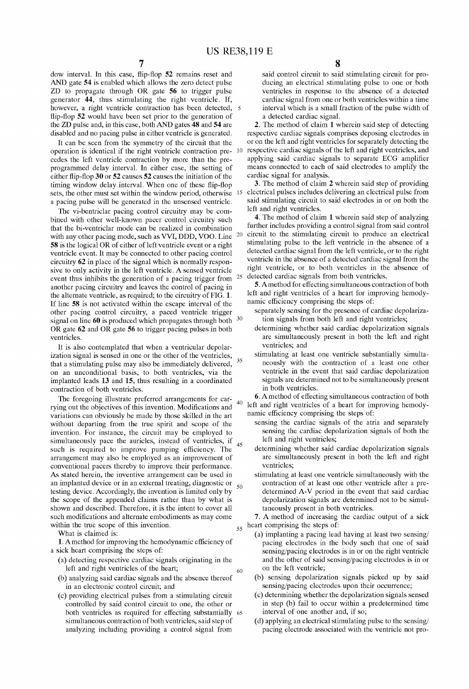dow interval. In this case, flip-flop 52 remains reset and AND gate 54 is enabled Which allows the Zero detect pulse ZD to propagate through OR gate 56 to trigger pulse generator 44, thus stimulating the right ventricle. If, however, a right ventricle contraction has been detected, 5 flip-flop 52 would have been set prior to the generation of the ZD pulse and, in this case, both AND gates 48 and 54 are disabled and no pacing pulse in either ventricle is generated.

It can be seen from the symmetry of the circuit that the cedes the left ventricle contraction by more than the pre programmed delay interval. In either case, the setting of either flip-flop 30 or  $52$  causes  $52$  causes the initiation of the timing window delay interval. When one of these flip-flop sets, the other must set within the window period, otherwise a pacing pulse Will be generated in the unsensed ventricle.

The vi-bentriclar pacing control circuitry may be com bined with other well-known pacer control circuitry such that the bi-ventriclar mode can be realized in combination 20 with any other pacing mode, such as VVI, DDD, VOO. Line 58 is the logical OR of either of left ventricle event or a right ventricle event. It may be connected to other pacing control circuitry 62 in place of the signal Which is normally respon sive to only activity in the left ventricle. A sensed ventricle 25 event thus inhibits the generation of a pacing trigger from another pacing circuitry and leaves the control of pacing in the alternate ventricle, as required; to the circuitry of FIG. 1. If line 58 is not activated Within the escape interval of the other pacing control circuitry, a paced ventricle trigger signal on line 60 is produced which propagates through both  $30$ OR gate 62 and OR gate 56 to trigger pacing pulses in both ventricles.

It is also contemplated that When a ventricular depolar ization signal is sensed in one or the other of the ventricles, that a stimulating pulse may also be immediately delivered, on an unconditional basis, to both ventricles, via the implanted leads 13 and 15, thus resulting in a coordinated contraction of both ventricles. 35

The foregoing illustrate preferred arrangements for car  $40$ rying out the objectives of this invention. Modifications and variations can obviously be made by those skilled in the art without departing from the true spirit and scope of the invention. For instance, the circuit may be employed to simultaneously pace the auricles, instead of ventricles, if 45 such is required to improve pumping efficiency. The arrangement may also be employed as an improvement of conventional pacers thereby to improve their performance. As stated herein, the inventive arrangement can be used in an implanted device or in an external treating, diagnostic or  $\epsilon_0$ testing device. Accordingly, the invention is limited only by the scope of the appended claims rather than by What is shoWn and described. Therefore, it is the intent to cover all such modifications and alternate embodiments as may come within the true scope of this invention.

What is claimed is:

1. A method for improving the hemodynamic efficiency of a sick heart comprising the steps of:

(a) detecting respective cardiac signals originating in the left and right ventricles of the heart;

60

- (b) analyZing said cardiac signals and the absence thereof in an electronic control circuit; and
- (c) providing electrical pulses from a stimulating circuit controlled by said control circuit to one, the other or both ventricles as required for effecting substantially 65 simultaneous contraction of both ventricles, said step of analyZing including providing a control signal from

said control circuit to said stimulating circuit for pro ducing an electrical stimulating pulse to one or both ventricles in response to the absence of a detected cardiac signal from one or both ventricles Within a time interval Which is a small fraction of the pulse Width of a detected cardiac signal.

operation is identical if the right ventricle contraction pre- 10 respective cardiac signals of the left and right ventricles, and 2. The method of claim 1 Wherein said step of detecting respective cardiac signals comprises deposing electrodes in or on the left and right ventricles for separately detecting the applying said cardiac signals to separate ECG amplifier means connected to each of said electrodes to amplify the cardiac signal for analysis.

> 5 electrical pulses includes delivering an electrical pulse from 3. The method of claim 2 Wherein said step of providing said stimulating circuit to said electrodes in or on both the left and right ventricles.

4. The method of claim 1 wherein said step of analyzing further includes providing a control signal from said control circuit to the stimulating circuit to produce an electrical stimulating pulse to the left ventricle in the absence of a detected cardiac signal from the left ventricle, or to the right ventricle in the absence of a detected cardiac signal from the right ventricle, or to both ventricles in the absence of detected cardiac signals from both ventricles.

5. Amethod for effecting simultaneous contraction of both left and right ventricles of a heart for improving hemody namic efficiency comprising the steps of:

- separately sensing for the presence of cardiac depolarization signals from both left and right ventricles;
- determining whether said cardiac depolarization signals are simultaneously present in both the left and right ventricles; and
- stimulating at least one ventricle substantially simulta neously With the contraction of a least one other ventricle in the event that said cardiac depolarization signals are determined not to be simultaneously present in both ventricles.

6. A method of effecting simultaneous contraction of both left and right ventricles of a heart for improving hemody namic efficiency comprising the steps of:

- sensing the cardiac signals of the atria and separately sensing the cardiac depolarization signals of both the left and right ventricles;
- determining whether said cardiac depolarization signals are simultaneously present in both the left and right ventricles;
- stimulating at least one ventricle simultaneously With the contraction of at least one other ventricle after a pre determined A-V period in the event that said cardiac depolarization signals are determined not to be simultaneously present in both ventricles.

7. A method of increasing the cardiac output of a sick 55 heart comprising the steps of:

- (a) implanting a pacing lead having at least two sensing/ pacing electrodes in the body such that one of said sensing/pacing electrodes is in or on the right ventricle and the other of said sensing/pacing electrodes is in or on the left ventricle;
- (b) sensing depolarization signals picked up by said sensing/pacing electrodes upon their occurrence;
- (c) determining Whether the depolariZation signals sensed in step (b) fail to occur Within a predetermined time interval of one another and, if so;
- (d) applying an electrical stimulating pulse to the sensing/ pacing electrode associated With the ventricle not pro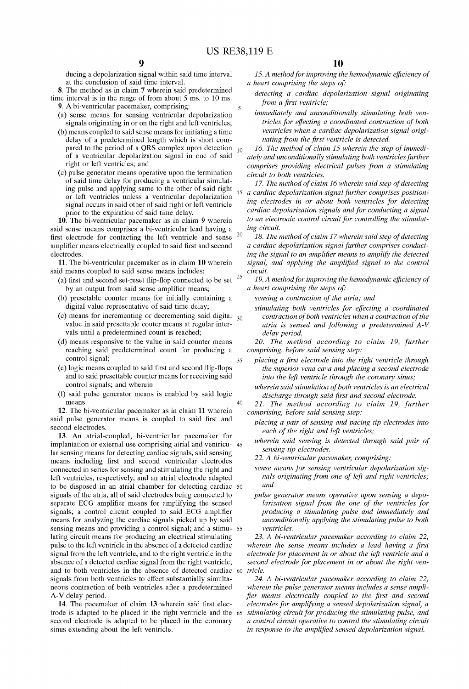35

ducing a depolarization signal Within said time interval at the conclusion of said time interval.

8. The method as in claim 7 Wherein said predetermined time interval is in the range of from about 5 ms. to 10 ms. 9. A bi-ventricular pacemaker, comprising:

- (a) sense means for sensing ventricular depolarization signals originating in or on the right and left ventricles;
- (b) means coupled to said sense means for initiating a time delay of a predetermined length Which is short com pared to the period of a QRS complex upon detection  $_{10}$ of a ventricular depolariZation signal in one of said right or left ventricles; and
- (c) pulse generator means operative upon the termination of said time delay for producing a ventricular simulat ing pulse and applying same to the other of said right or left ventricles unless a ventricular depolarization signal occurs in said other of said right or left ventricle prior to the expiration of said time delay.

10. The bi-ventricular pacemaker as in claim 9 Wherein said sense means comprises a bi-ventricular lead having a 20 first electrode for contacting the left ventricle and sense amplifier means electrically coupled to said first and second electrodes.

11. The bi-ventricular pacemaker as in claim 10 Wherein said means coupled to said sense means includes:

- (a) first and second set-reset flip-flop connected to be set  $25$ by an output from said sense amplifier means;
- (b) presetable counter means for initially containing a digital value representative of said time delay;
- (c) means for incrementing or decrementing said digital  $_{30}$ value in said presettable couter means at regular inter vals until a predetermined count is reached;
- (d) means responsive to the value in said counter means reaching said predetermined count for producing a control signal;
- (e) logic means coupled to said first and second flip-flops and to said presettable counter means for receiving said control signals; and Wherein
- (f) said pulse generator means is enabled by said logic means.

12. The bi-ventricular pacemaker as in claim 11 Wherein said pulse generator means is coupled to said first and second electrodes.

13. An atrial-coupled, bi-ventricular pacemaker for implantation or external use comprising atrial and ventricu- 45 lar sensing means for detecting cardiac signals, said sensing means including first and second ventricular electrodes connected in series for sensing and stimulating the right and left ventricles, respectively, and an atrial electrode adapted to be disposed in an atrial chamber for detecting cardiac signals of the atria, all of said electrodes being connected to separate ECG amplifier means for amplifying the sensed signals; a control circuit coupled to said ECG amplifier means for analyZing the cardiac signals picked up by said sensing means and providing a control signal; and a stimu- 55 lating circuit means for producing an electrical stimulating pulse to the left ventricle in the absence of a detected cardiac signal from the left ventricle, and to the right ventricle in the absence of a detected cardiac signal from the right ventricle, and to both ventricles in the absence of detected cardiac 60 signals from both ventricles to effect substantially simulta neous contraction of both ventricles after a predetermined A-V delay period.

14. The pacemaker of claim 13 wherein said first electrode is adapted to be placed in the right ventricle and the 65 second electrode is adapted to be placed in the coronary sinus extending about the left ventricle.

15. A method for improving the hemodynamic efficiency of a heart comprising the steps of:

- detecting a cardiac depolarization signal originating from a first ventricle;
- immediately and unconditionally stimulating both ven tricles for effecting a coordinated contraction of both ventricles when a cardiac depolarization signal origi nating from the first ventricle is detected.

16. The method of claim 15 wherein the step of immedi ately and unconditionally stimulating both ventricles further comprises providing electrical pulses from a stimulating circuit to both ventricles.

17. The method of claim 16 wherein said step of detecting a cardiac depolarization signal further comprises position ing electrodes in or about both ventricles for detecting cardiac depolarization signals and for conducting a signal to an electronic control circuit for controlling the stimulat ing circuit.

18. The method of claim 17 wherein said step of detecting a cardiac depolarization signal further comprises conduct ing the signal to an amplifier means to amplify the detected signal, and applying the amplified signal to the control circuit.

19. A method for improving the hemodynamic ejficiency of a heart comprising the steps of:

- sensing a contraction of the atria; and
- stimulating both ventricles for effecting a coordinated contraction of both ventricles when a contraction of the atria is sensed and following a predetermined A-V delay period.

20. The method according to claim 19, further comprising; before said sensing step:

- placing a first electrode into the right ventricle through the superior vena cava and placing a second electrode into the left ventricle through the coronary sinus;
- wherein said stimulation of both ventricles is an electrical discharge through said first and second electrode.

 $40$ 21. The method according to claim 19; further comprising; before said sensing step:

- placing a pair of sensing and pacing tip electrodes into each of the right and left ventricles;
- wherein said sensing is detected through said pair of sensing tip electrodes.
- 22. A bi-ventricular pacemaker; comprising:
- sense means for sensing ventricular depolarization sig nals originating from one of left and right ventricles; and
- pulse generator means operative upon sensing a depo larization signal from the one of the ventricles for producing a stimulating pulse and immediately and unconditionally applying the stimulating pulse to both ventricles.

23. A bi-ventricular pacemaker according to claim 22; wherein the sense means includes a lead having a first electrode for placement in or about the left ventricle and a second electrode for placement in or about the right ven tricle.

24. A bi-ventricular pacemaker according to claim 22; wherein the pulse generator means includes a sense amplifier means electrically coupled to the first and second electrodes for amplifying a sensed depolarization signal; a stimulating circuit for producing the stimulating pulse; and a control circuit operative to control the stimulating circuit in response to the amplified sensed depolarization signal.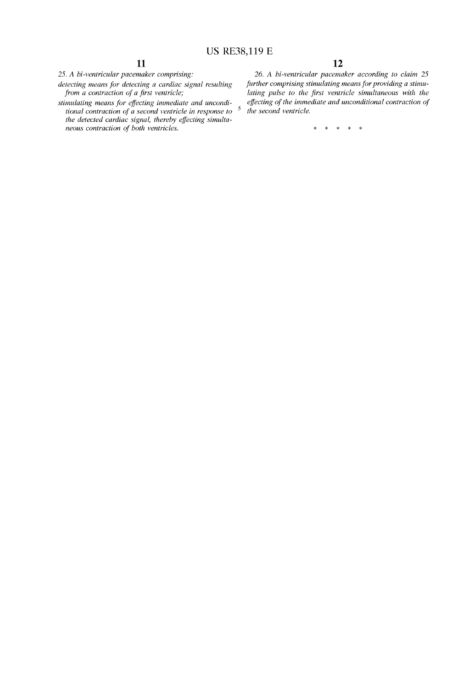25. A bi-ventricular pacemaker comprising:

detecting means for detecting a cardiac signal resulting from a contraction of a first ventricle;

stimulating means for effecting immediate and unconditional contraction of a second ventricle in response to the detected cardiac signal, thereby effecting simultaneous contraction of both ventricles.

12

26. A bi-ventricular pacemaker according to claim 25 further comprising stimulating means for providing a stimu lating pulse to the first ventricle simultaneous with the effecting of the immediate and unconditional contraction of the second ventricle.

> $\mathcal{R}$  $\star$  $\ast$